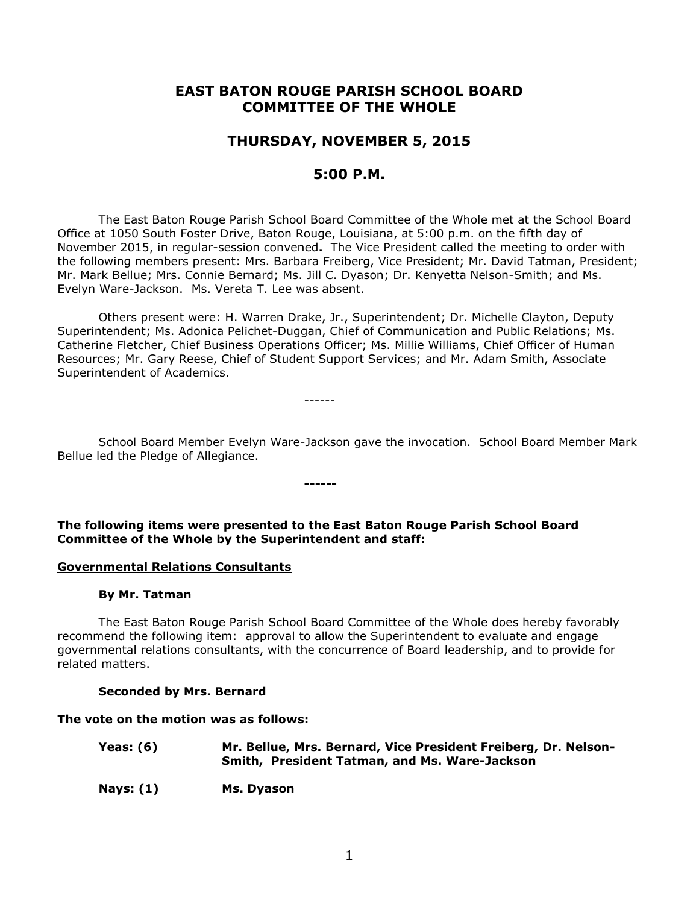# **EAST BATON ROUGE PARISH SCHOOL BOARD COMMITTEE OF THE WHOLE**

# **THURSDAY, NOVEMBER 5, 2015**

# **5:00 P.M.**

The East Baton Rouge Parish School Board Committee of the Whole met at the School Board Office at 1050 South Foster Drive, Baton Rouge, Louisiana, at 5:00 p.m. on the fifth day of November 2015, in regular-session convened**.** The Vice President called the meeting to order with the following members present: Mrs. Barbara Freiberg, Vice President; Mr. David Tatman, President; Mr. Mark Bellue; Mrs. Connie Bernard; Ms. Jill C. Dyason; Dr. Kenyetta Nelson-Smith; and Ms. Evelyn Ware-Jackson. Ms. Vereta T. Lee was absent.

Others present were: H. Warren Drake, Jr., Superintendent; Dr. Michelle Clayton, Deputy Superintendent; Ms. Adonica Pelichet-Duggan, Chief of Communication and Public Relations; Ms. Catherine Fletcher, Chief Business Operations Officer; Ms. Millie Williams, Chief Officer of Human Resources; Mr. Gary Reese, Chief of Student Support Services; and Mr. Adam Smith, Associate Superintendent of Academics.

------

School Board Member Evelyn Ware-Jackson gave the invocation. School Board Member Mark Bellue led the Pledge of Allegiance.

**The following items were presented to the East Baton Rouge Parish School Board Committee of the Whole by the Superintendent and staff:**

**------**

### **Governmental Relations Consultants**

### **By Mr. Tatman**

The East Baton Rouge Parish School Board Committee of the Whole does hereby favorably recommend the following item: approval to allow the Superintendent to evaluate and engage governmental relations consultants, with the concurrence of Board leadership, and to provide for related matters.

### **Seconded by Mrs. Bernard**

### **The vote on the motion was as follows:**

| Yeas: $(6)$ | Mr. Bellue, Mrs. Bernard, Vice President Freiberg, Dr. Nelson-<br>Smith, President Tatman, and Ms. Ware-Jackson |
|-------------|-----------------------------------------------------------------------------------------------------------------|
| Nays: $(1)$ | Ms. Dvason                                                                                                      |

1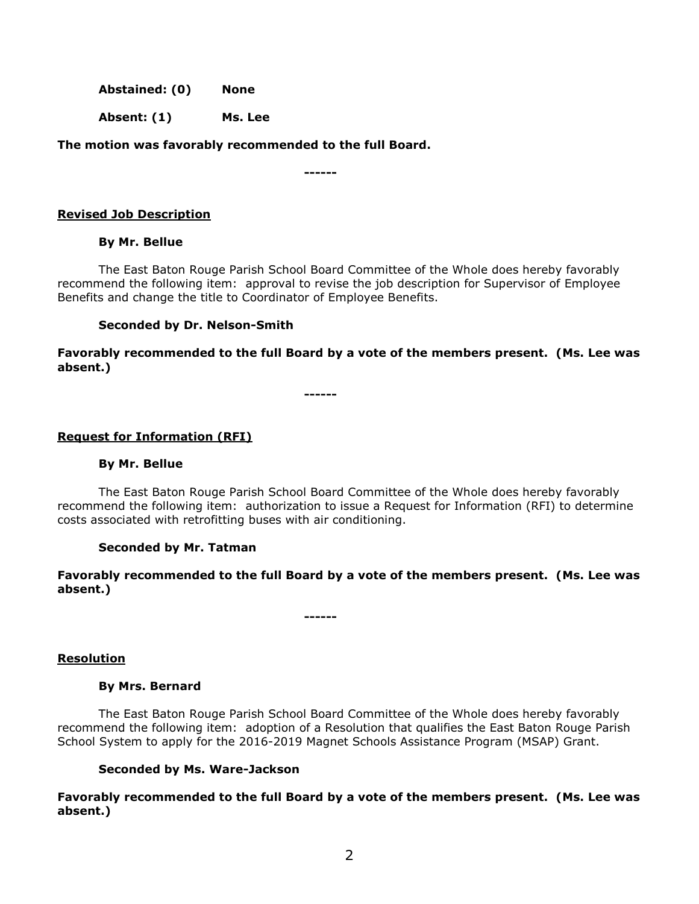**Abstained: (0) None**

**Absent: (1) Ms. Lee**

**The motion was favorably recommended to the full Board.**

**------**

# **Revised Job Description**

# **By Mr. Bellue**

The East Baton Rouge Parish School Board Committee of the Whole does hereby favorably recommend the following item: approval to revise the job description for Supervisor of Employee Benefits and change the title to Coordinator of Employee Benefits.

# **Seconded by Dr. Nelson-Smith**

**Favorably recommended to the full Board by a vote of the members present. (Ms. Lee was absent.)**

**------**

# **Request for Information (RFI)**

# **By Mr. Bellue**

The East Baton Rouge Parish School Board Committee of the Whole does hereby favorably recommend the following item: authorization to issue a Request for Information (RFI) to determine costs associated with retrofitting buses with air conditioning.

# **Seconded by Mr. Tatman**

**Favorably recommended to the full Board by a vote of the members present. (Ms. Lee was absent.)**

**------**

# **Resolution**

# **By Mrs. Bernard**

The East Baton Rouge Parish School Board Committee of the Whole does hereby favorably recommend the following item: adoption of a Resolution that qualifies the East Baton Rouge Parish School System to apply for the 2016-2019 Magnet Schools Assistance Program (MSAP) Grant.

# **Seconded by Ms. Ware-Jackson**

**Favorably recommended to the full Board by a vote of the members present. (Ms. Lee was absent.)**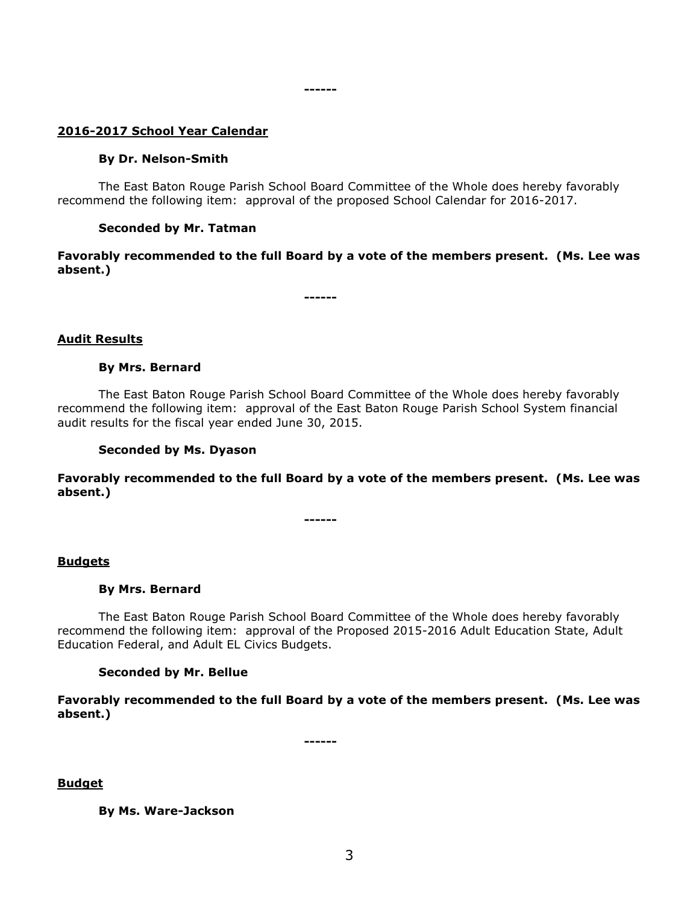#### **------**

# **2016-2017 School Year Calendar**

#### **By Dr. Nelson-Smith**

The East Baton Rouge Parish School Board Committee of the Whole does hereby favorably recommend the following item: approval of the proposed School Calendar for 2016-2017.

#### **Seconded by Mr. Tatman**

**Favorably recommended to the full Board by a vote of the members present. (Ms. Lee was absent.)**

**------**

### **Audit Results**

#### **By Mrs. Bernard**

The East Baton Rouge Parish School Board Committee of the Whole does hereby favorably recommend the following item: approval of the East Baton Rouge Parish School System financial audit results for the fiscal year ended June 30, 2015.

#### **Seconded by Ms. Dyason**

**Favorably recommended to the full Board by a vote of the members present. (Ms. Lee was absent.)**

**------**

### **Budgets**

#### **By Mrs. Bernard**

The East Baton Rouge Parish School Board Committee of the Whole does hereby favorably recommend the following item: approval of the Proposed 2015-2016 Adult Education State, Adult Education Federal, and Adult EL Civics Budgets.

#### **Seconded by Mr. Bellue**

**Favorably recommended to the full Board by a vote of the members present. (Ms. Lee was absent.)**

**------**

**Budget**

**By Ms. Ware-Jackson**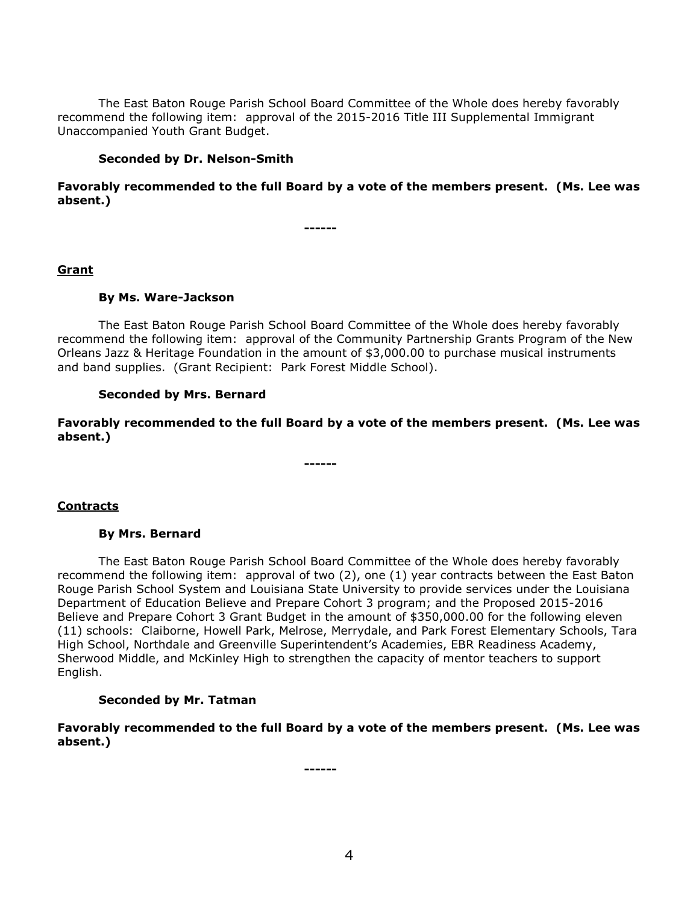The East Baton Rouge Parish School Board Committee of the Whole does hereby favorably recommend the following item: approval of the 2015-2016 Title III Supplemental Immigrant Unaccompanied Youth Grant Budget.

### **Seconded by Dr. Nelson-Smith**

**Favorably recommended to the full Board by a vote of the members present. (Ms. Lee was absent.)**

**------**

# **Grant**

# **By Ms. Ware-Jackson**

The East Baton Rouge Parish School Board Committee of the Whole does hereby favorably recommend the following item: approval of the Community Partnership Grants Program of the New Orleans Jazz & Heritage Foundation in the amount of \$3,000.00 to purchase musical instruments and band supplies. (Grant Recipient: Park Forest Middle School).

# **Seconded by Mrs. Bernard**

**Favorably recommended to the full Board by a vote of the members present. (Ms. Lee was absent.)**

**------**

**Contracts**

# **By Mrs. Bernard**

The East Baton Rouge Parish School Board Committee of the Whole does hereby favorably recommend the following item: approval of two (2), one (1) year contracts between the East Baton Rouge Parish School System and Louisiana State University to provide services under the Louisiana Department of Education Believe and Prepare Cohort 3 program; and the Proposed 2015-2016 Believe and Prepare Cohort 3 Grant Budget in the amount of \$350,000.00 for the following eleven (11) schools: Claiborne, Howell Park, Melrose, Merrydale, and Park Forest Elementary Schools, Tara High School, Northdale and Greenville Superintendent's Academies, EBR Readiness Academy, Sherwood Middle, and McKinley High to strengthen the capacity of mentor teachers to support English.

# **Seconded by Mr. Tatman**

**Favorably recommended to the full Board by a vote of the members present. (Ms. Lee was absent.)**

**------**